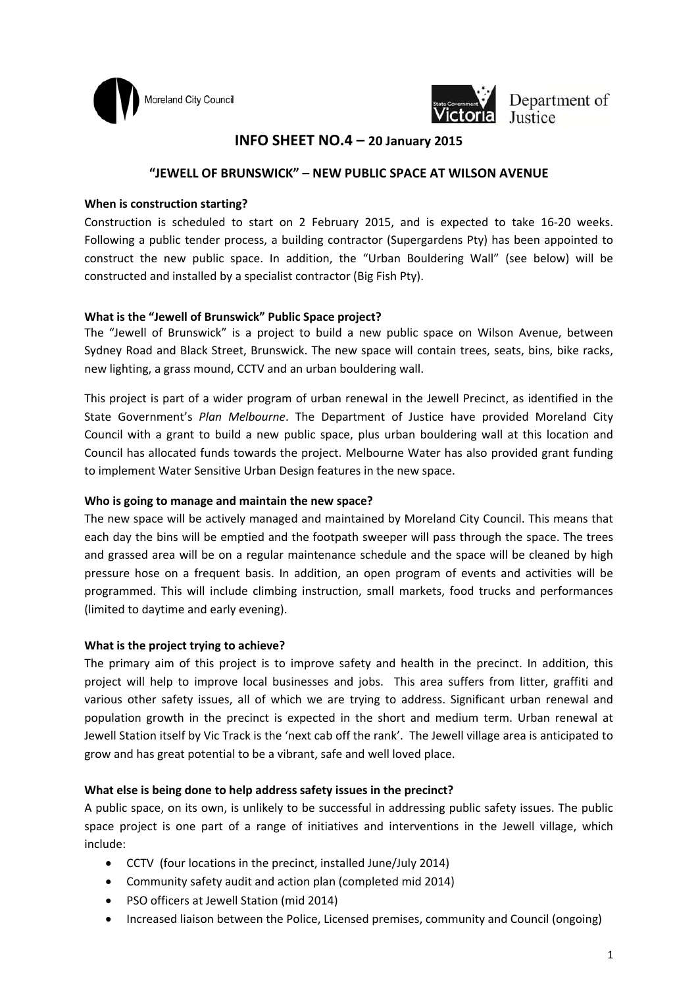



Department of JUSTICE JUSTICE

# **INFO SHEET NO.4 – 20 January 2015**

## **"JEWELL OF BRUNSWICK" – NEW PUBLIC SPACE AT WILSON AVENUE**

#### **When is construction starting?**

Construction is scheduled to start on 2 February 2015, and is expected to take 16‐20 weeks. Following a public tender process, a building contractor (Supergardens Pty) has been appointed to construct the new public space. In addition, the "Urban Bouldering Wall" (see below) will be constructed and installed by a specialist contractor (Big Fish Pty).

## **What is the "Jewell of Brunswick" Public Space project?**

The "Jewell of Brunswick" is a project to build a new public space on Wilson Avenue, between Sydney Road and Black Street, Brunswick. The new space will contain trees, seats, bins, bike racks, new lighting, a grass mound, CCTV and an urban bouldering wall.

This project is part of a wider program of urban renewal in the Jewell Precinct, as identified in the State Government's *Plan Melbourne*. The Department of Justice have provided Moreland City Council with a grant to build a new public space, plus urban bouldering wall at this location and Council has allocated funds towards the project. Melbourne Water has also provided grant funding to implement Water Sensitive Urban Design features in the new space.

## **Who is going to manage and maintain the new space?**

The new space will be actively managed and maintained by Moreland City Council. This means that each day the bins will be emptied and the footpath sweeper will pass through the space. The trees and grassed area will be on a regular maintenance schedule and the space will be cleaned by high pressure hose on a frequent basis. In addition, an open program of events and activities will be programmed. This will include climbing instruction, small markets, food trucks and performances (limited to daytime and early evening).

## **What is the project trying to achieve?**

The primary aim of this project is to improve safety and health in the precinct. In addition, this project will help to improve local businesses and jobs. This area suffers from litter, graffiti and various other safety issues, all of which we are trying to address. Significant urban renewal and population growth in the precinct is expected in the short and medium term. Urban renewal at Jewell Station itself by Vic Track is the 'next cab off the rank'. The Jewell village area is anticipated to grow and has great potential to be a vibrant, safe and well loved place.

## **What else is being done to help address safety issues in the precinct?**

A public space, on its own, is unlikely to be successful in addressing public safety issues. The public space project is one part of a range of initiatives and interventions in the Jewell village, which include:

- CCTV (four locations in the precinct, installed June/July 2014)
- Community safety audit and action plan (completed mid 2014)
- PSO officers at Jewell Station (mid 2014)
- Increased liaison between the Police, Licensed premises, community and Council (ongoing)